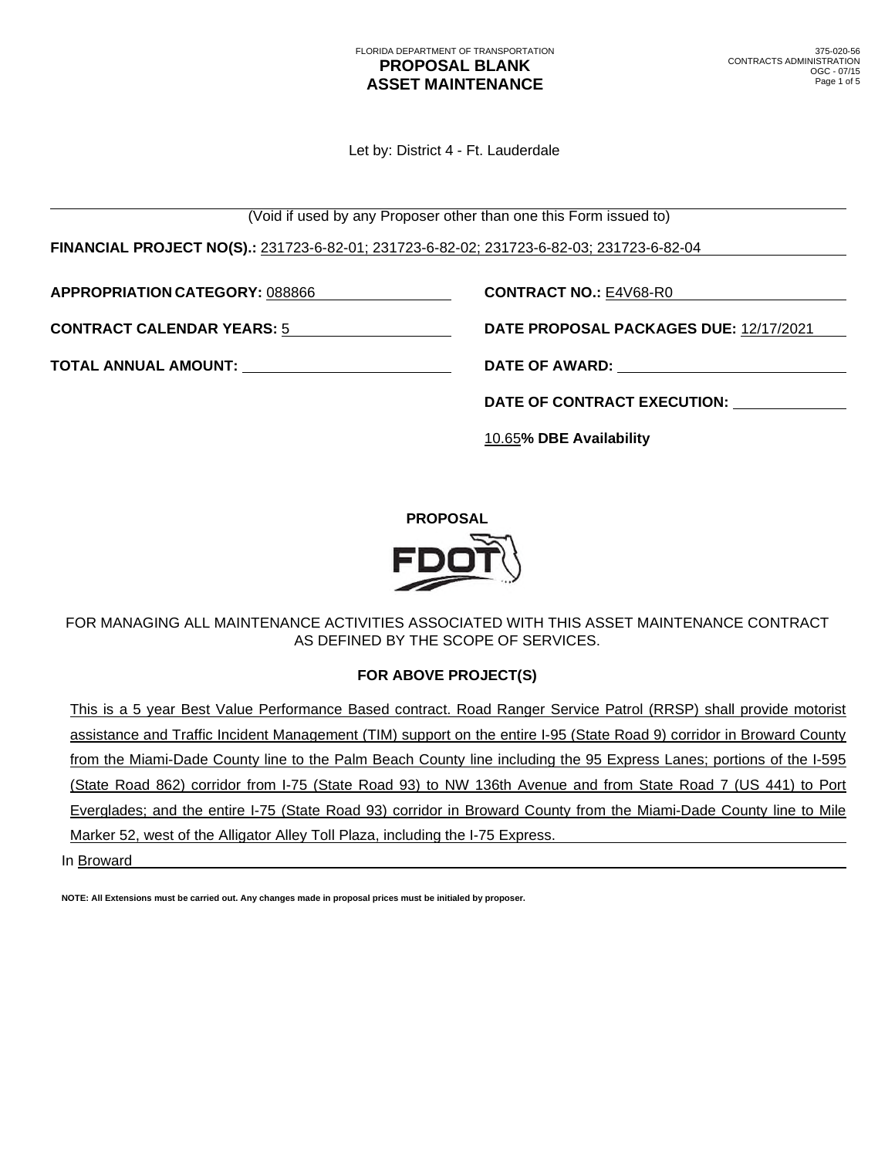Let by: District 4 - Ft. Lauderdale

(Void if used by any Proposer other than one this Form issued to)

**FINANCIAL PROJECT NO(S).:** 231723-6-82-01; 231723-6-82-02; 231723-6-82-03; 231723-6-82-04

**APPROPRIATION CATEGORY:** 088866 **CONTRACT NO.:** E4V68-R0

**CONTRACT CALENDAR YEARS:** 5 **DATE PROPOSAL PACKAGES DUE:** 12/17/2021

**TOTAL ANNUAL AMOUNT: DATE OF AWARD:** 

**DATE OF CONTRACT EXECUTION:**

10.65**% DBE Availability**



FOR MANAGING ALL MAINTENANCE ACTIVITIES ASSOCIATED WITH THIS ASSET MAINTENANCE CONTRACT AS DEFINED BY THE SCOPE OF SERVICES.

## **FOR ABOVE PROJECT(S)**

This is a 5 year Best Value Performance Based contract. Road Ranger Service Patrol (RRSP) shall provide motorist assistance and Traffic Incident Management (TIM) support on the entire I-95 (State Road 9) corridor in Broward County from the Miami-Dade County line to the Palm Beach County line including the 95 Express Lanes; portions of the I-595 (State Road 862) corridor from I-75 (State Road 93) to NW 136th Avenue and from State Road 7 (US 441) to Port Everglades; and the entire I-75 (State Road 93) corridor in Broward County from the Miami-Dade County line to Mile Marker 52, west of the Alligator Alley Toll Plaza, including the I-75 Express.

In Broward

**NOTE: All Extensions must be carried out. Any changes made in proposal prices must be initialed by proposer.**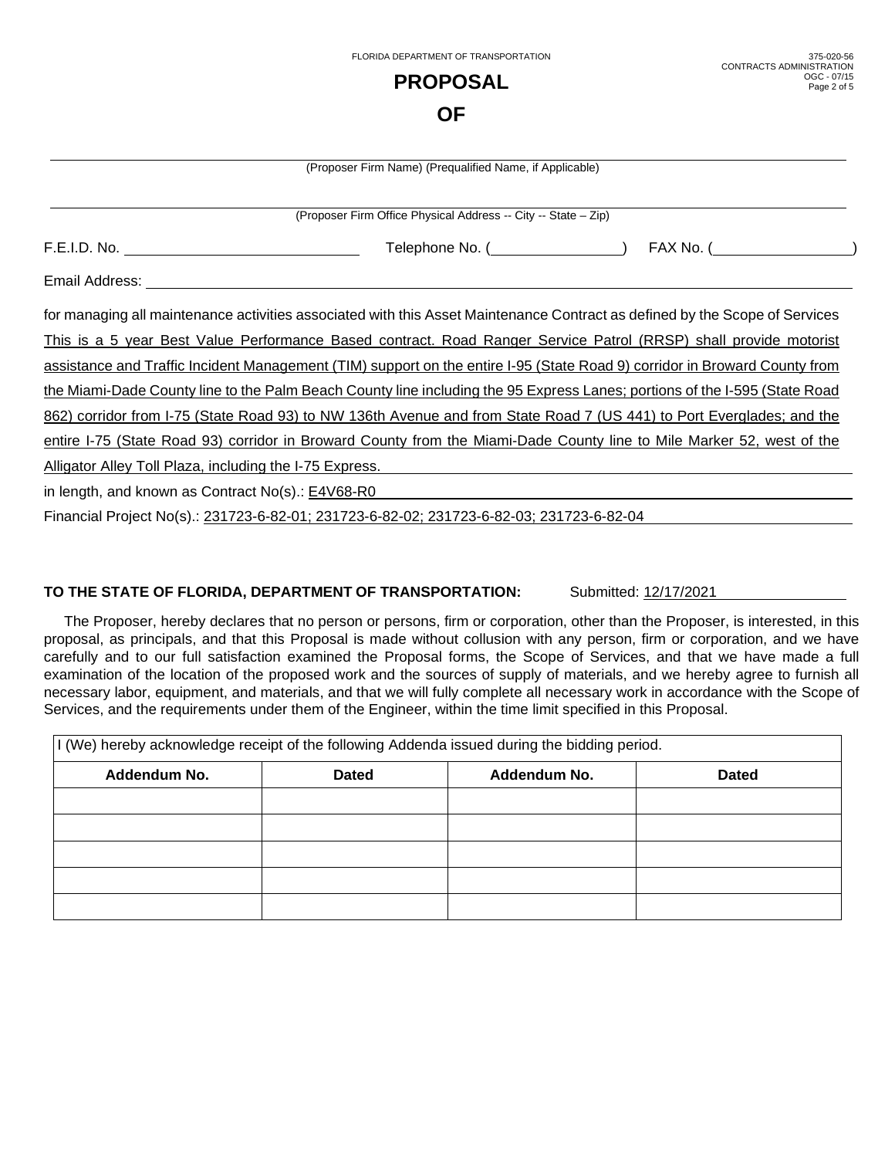|                                                                                                                       | ΟF                                                             |                                                                                                                             |  |  |
|-----------------------------------------------------------------------------------------------------------------------|----------------------------------------------------------------|-----------------------------------------------------------------------------------------------------------------------------|--|--|
|                                                                                                                       | (Proposer Firm Name) (Prequalified Name, if Applicable)        |                                                                                                                             |  |  |
|                                                                                                                       | (Proposer Firm Office Physical Address -- City -- State - Zip) |                                                                                                                             |  |  |
|                                                                                                                       |                                                                |                                                                                                                             |  |  |
|                                                                                                                       |                                                                |                                                                                                                             |  |  |
|                                                                                                                       |                                                                | for managing all maintenance activities associated with this Asset Maintenance Contract as defined by the Scope of Services |  |  |
|                                                                                                                       |                                                                | This is a 5 year Best Value Performance Based contract. Road Ranger Service Patrol (RRSP) shall provide motorist            |  |  |
|                                                                                                                       |                                                                | assistance and Traffic Incident Management (TIM) support on the entire I-95 (State Road 9) corridor in Broward County from  |  |  |
|                                                                                                                       |                                                                | the Miami-Dade County line to the Palm Beach County line including the 95 Express Lanes; portions of the I-595 (State Road  |  |  |
| 862) corridor from I-75 (State Road 93) to NW 136th Avenue and from State Road 7 (US 441) to Port Everglades; and the |                                                                |                                                                                                                             |  |  |
|                                                                                                                       |                                                                | entire I-75 (State Road 93) corridor in Broward County from the Miami-Dade County line to Mile Marker 52, west of the       |  |  |
| Alligator Alley Toll Plaza, including the I-75 Express.                                                               |                                                                |                                                                                                                             |  |  |
| in length, and known as Contract No(s).: E4V68-R0                                                                     |                                                                |                                                                                                                             |  |  |

FLORIDA DEPARTMENT OF TRANSPORTATION **PROPOSAL** 

375-020-56

OGC - 07/15 Page 2 of 5

CONTRACTS ADMINISTRATION

Financial Project No(s).: 231723-6-82-01; 231723-6-82-02; 231723-6-82-03; 231723-6-82-04

### **TO THE STATE OF FLORIDA, DEPARTMENT OF TRANSPORTATION:** Submitted: 12/17/2021

The Proposer, hereby declares that no person or persons, firm or corporation, other than the Proposer, is interested, in this proposal, as principals, and that this Proposal is made without collusion with any person, firm or corporation, and we have carefully and to our full satisfaction examined the Proposal forms, the Scope of Services, and that we have made a full examination of the location of the proposed work and the sources of supply of materials, and we hereby agree to furnish all necessary labor, equipment, and materials, and that we will fully complete all necessary work in accordance with the Scope of Services, and the requirements under them of the Engineer, within the time limit specified in this Proposal.

| I (We) hereby acknowledge receipt of the following Addenda issued during the bidding period. |              |              |              |  |  |  |
|----------------------------------------------------------------------------------------------|--------------|--------------|--------------|--|--|--|
| Addendum No.                                                                                 | <b>Dated</b> | Addendum No. | <b>Dated</b> |  |  |  |
|                                                                                              |              |              |              |  |  |  |
|                                                                                              |              |              |              |  |  |  |
|                                                                                              |              |              |              |  |  |  |
|                                                                                              |              |              |              |  |  |  |
|                                                                                              |              |              |              |  |  |  |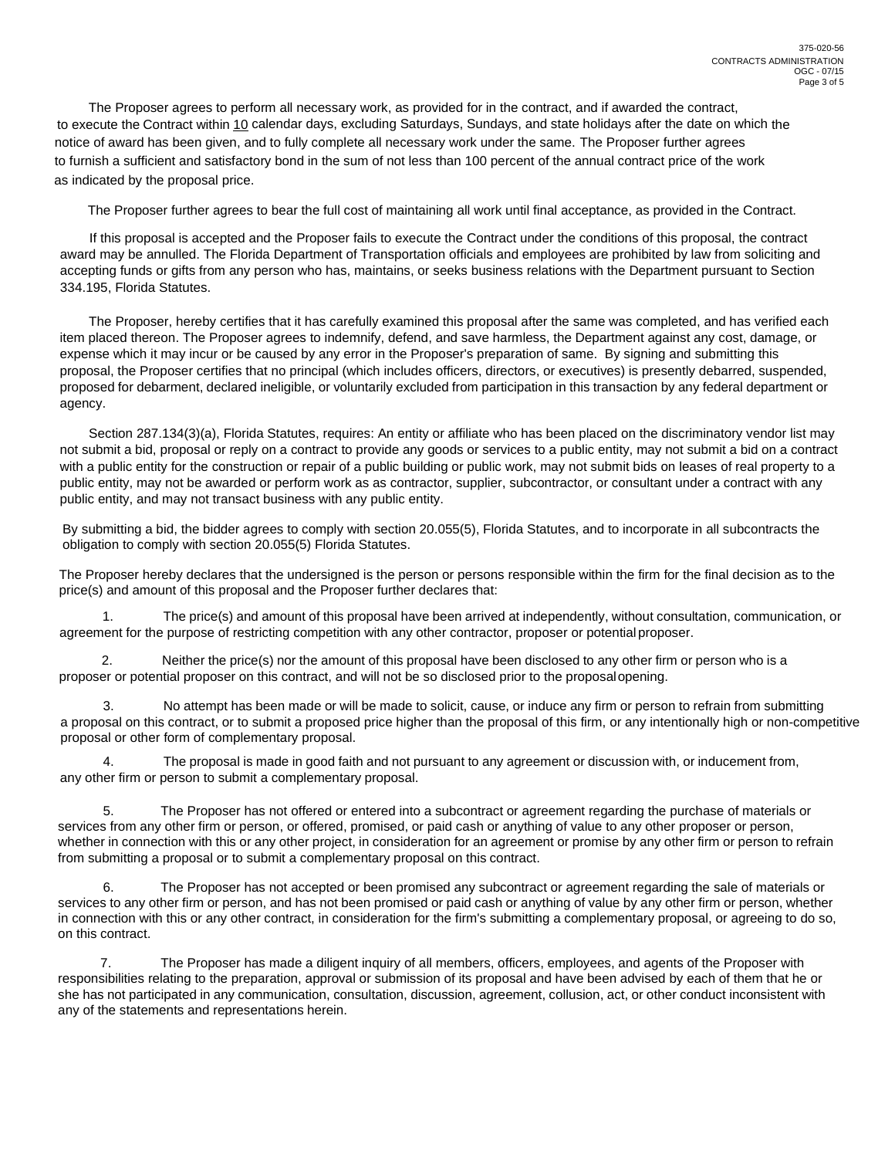The Proposer agrees to perform all necessary work, as provided for in the contract, and if awarded the contract, to execute the Contract within 10 calendar days, excluding Saturdays, Sundays, and state holidays after the date on which the notice of award has been given, and to fully complete all necessary work under the same. The Proposer further agrees to furnish a sufficient and satisfactory bond in the sum of not less than 100 percent of the annual contract price of the work as indicated by the proposal price.

The Proposer further agrees to bear the full cost of maintaining all work until final acceptance, as provided in the Contract.

If this proposal is accepted and the Proposer fails to execute the Contract under the conditions of this proposal, the contract award may be annulled. The Florida Department of Transportation officials and employees are prohibited by law from soliciting and accepting funds or gifts from any person who has, maintains, or seeks business relations with the Department pursuant to Section 334.195, Florida Statutes.

The Proposer, hereby certifies that it has carefully examined this proposal after the same was completed, and has verified each item placed thereon. The Proposer agrees to indemnify, defend, and save harmless, the Department against any cost, damage, or expense which it may incur or be caused by any error in the Proposer's preparation of same. By signing and submitting this proposal, the Proposer certifies that no principal (which includes officers, directors, or executives) is presently debarred, suspended, proposed for debarment, declared ineligible, or voluntarily excluded from participation in this transaction by any federal department or agency.

Section 287.134(3)(a), Florida Statutes, requires: An entity or affiliate who has been placed on the discriminatory vendor list may not submit a bid, proposal or reply on a contract to provide any goods or services to a public entity, may not submit a bid on a contract with a public entity for the construction or repair of a public building or public work, may not submit bids on leases of real property to a public entity, may not be awarded or perform work as as contractor, supplier, subcontractor, or consultant under a contract with any public entity, and may not transact business with any public entity.

By submitting a bid, the bidder agrees to comply with section 20.055(5), Florida Statutes, and to incorporate in all subcontracts the obligation to comply with section 20.055(5) Florida Statutes.

The Proposer hereby declares that the undersigned is the person or persons responsible within the firm for the final decision as to the price(s) and amount of this proposal and the Proposer further declares that:

The price(s) and amount of this proposal have been arrived at independently, without consultation, communication, or agreement for the purpose of restricting competition with any other contractor, proposer or potential proposer.

2. Neither the price(s) nor the amount of this proposal have been disclosed to any other firm or person who is a proposer or potential proposer on this contract, and will not be so disclosed prior to the proposal opening.

No attempt has been made or will be made to solicit, cause, or induce any firm or person to refrain from submitting a proposal on this contract, or to submit a proposed price higher than the proposal of this firm, or any intentionally high or non-competitive proposal or other form of complementary proposal.

The proposal is made in good faith and not pursuant to any agreement or discussion with, or inducement from, any other firm or person to submit a complementary proposal.

5. The Proposer has not offered or entered into a subcontract or agreement regarding the purchase of materials or services from any other firm or person, or offered, promised, or paid cash or anything of value to any other proposer or person, whether in connection with this or any other project, in consideration for an agreement or promise by any other firm or person to refrain from submitting a proposal or to submit a complementary proposal on this contract.

6. The Proposer has not accepted or been promised any subcontract or agreement regarding the sale of materials or services to any other firm or person, and has not been promised or paid cash or anything of value by any other firm or person, whether in connection with this or any other contract, in consideration for the firm's submitting a complementary proposal, or agreeing to do so, on this contract.

7. The Proposer has made a diligent inquiry of all members, officers, employees, and agents of the Proposer with responsibilities relating to the preparation, approval or submission of its proposal and have been advised by each of them that he or she has not participated in any communication, consultation, discussion, agreement, collusion, act, or other conduct inconsistent with any of the statements and representations herein.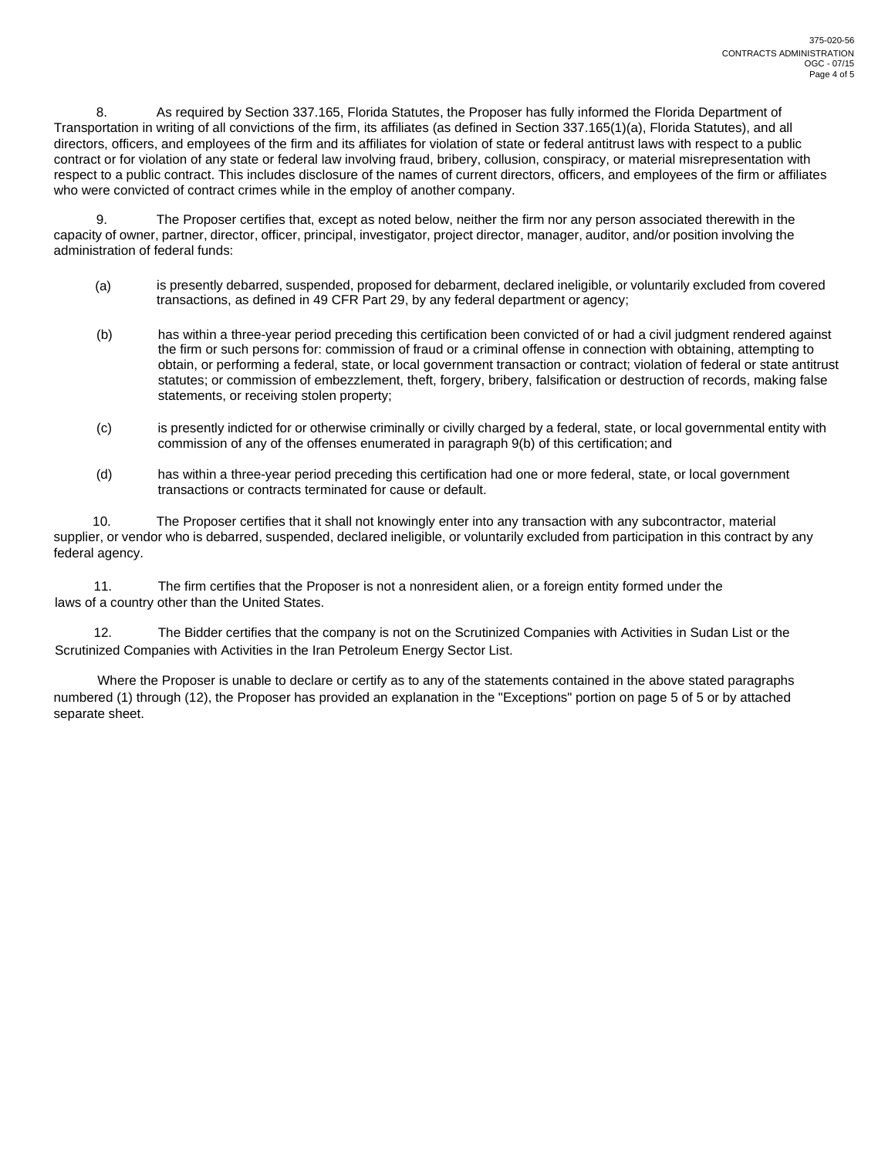8. As required by Section 337.165, Florida Statutes, the Proposer has fully informed the Florida Department of Transportation in writing of all convictions of the firm, its affiliates (as defined in Section 337.165(1)(a), Florida Statutes), and all directors, officers, and employees of the firm and its affiliates for violation of state or federal antitrust laws with respect to a public contract or for violation of any state or federal law involving fraud, bribery, collusion, conspiracy, or material misrepresentation with respect to a public contract. This includes disclosure of the names of current directors, officers, and employees of the firm or affiliates who were convicted of contract crimes while in the employ of another company.

9. The Proposer certifies that, except as noted below, neither the firm nor any person associated therewith in the capacity of owner, partner, director, officer, principal, investigator, project director, manager, auditor, and/or position involving the administration of federal funds:

- (a) is presently debarred, suspended, proposed for debarment, declared ineligible, or voluntarily excluded from covered transactions, as defined in 49 CFR Part 29, by any federal department or agency;
- (b) has within a three-year period preceding this certification been convicted of or had a civil judgment rendered against the firm or such persons for: commission of fraud or a criminal offense in connection with obtaining, attempting to obtain, or performing a federal, state, or local government transaction or contract; violation of federal or state antitrust statutes; or commission of embezzlement, theft, forgery, bribery, falsification or destruction of records, making false statements, or receiving stolen property;
- (c) is presently indicted for or otherwise criminally or civilly charged by a federal, state, or local governmental entity with commission of any of the offenses enumerated in paragraph 9(b) of this certification; and
- (d) has within a three-year period preceding this certification had one or more federal, state, or local government transactions or contracts terminated for cause or default.

10. The Proposer certifies that it shall not knowingly enter into any transaction with any subcontractor, material supplier, or vendor who is debarred, suspended, declared ineligible, or voluntarily excluded from participation in this contract by any federal agency.

11. The firm certifies that the Proposer is not a nonresident alien, or a foreign entity formed under the laws of a country other than the United States.

12. The Bidder certifies that the company is not on the Scrutinized Companies with Activities in Sudan List or the Scrutinized Companies with Activities in the Iran Petroleum Energy Sector List.

Where the Proposer is unable to declare or certify as to any of the statements contained in the above stated paragraphs numbered (1) through (12), the Proposer has provided an explanation in the "Exceptions" portion on page 5 of 5 or by attached separate sheet.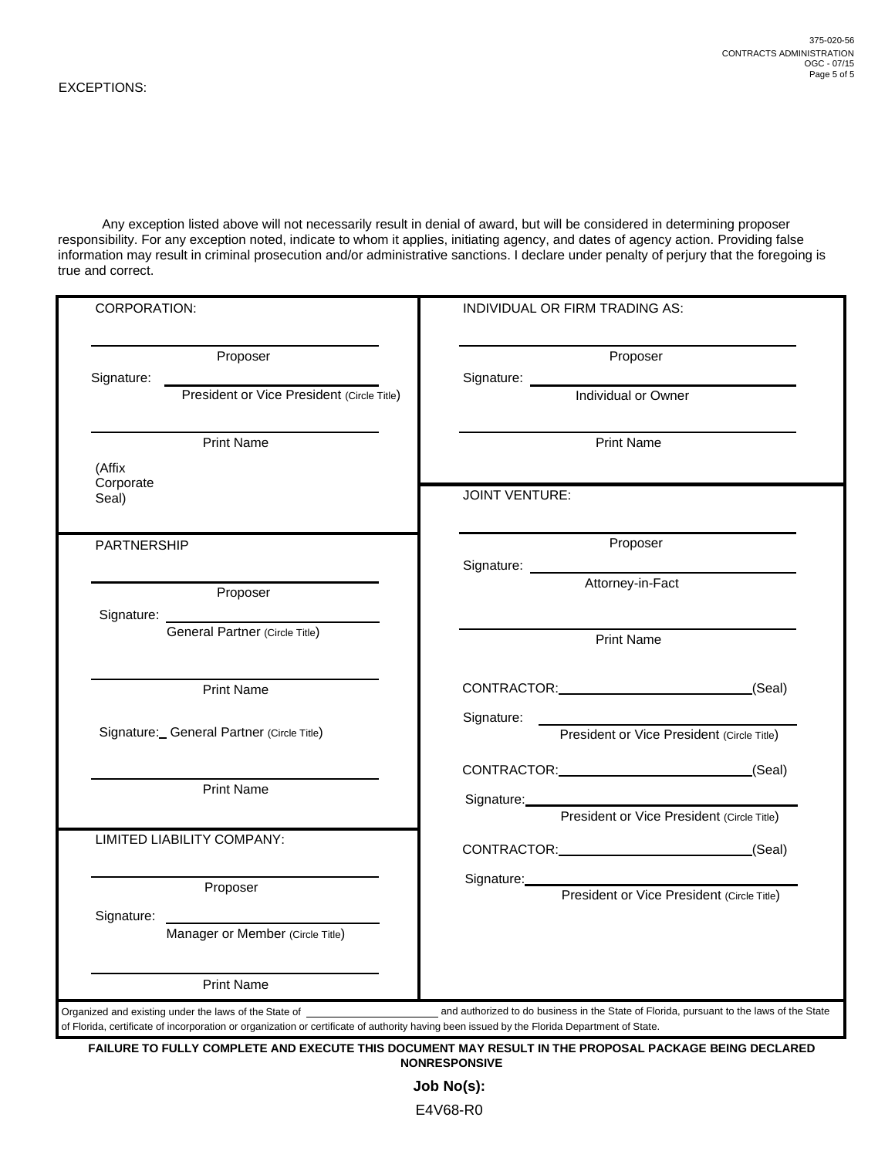Any exception listed above will not necessarily result in denial of award, but will be considered in determining proposer responsibility. For any exception noted, indicate to whom it applies, initiating agency, and dates of agency action. Providing false information may result in criminal prosecution and/or administrative sanctions. I declare under penalty of perjury that the foregoing is true and correct.

| CORPORATION:                              | INDIVIDUAL OR FIRM TRADING AS:                                                                                                                                                                                                                                                                     |  |
|-------------------------------------------|----------------------------------------------------------------------------------------------------------------------------------------------------------------------------------------------------------------------------------------------------------------------------------------------------|--|
| Proposer                                  | Proposer                                                                                                                                                                                                                                                                                           |  |
|                                           | Individual or Owner                                                                                                                                                                                                                                                                                |  |
| <b>Print Name</b>                         | <b>Print Name</b>                                                                                                                                                                                                                                                                                  |  |
| (Affix<br>Corporate<br>Seal)              | <b>JOINT VENTURE:</b>                                                                                                                                                                                                                                                                              |  |
| <b>PARTNERSHIP</b>                        | Proposer                                                                                                                                                                                                                                                                                           |  |
| Proposer                                  | Signature: <u>Latitorney-in-Fact</u>                                                                                                                                                                                                                                                               |  |
| Signature: General Partner (Circle Title) | <b>Print Name</b>                                                                                                                                                                                                                                                                                  |  |
| <b>Print Name</b>                         | CONTRACTOR: (Seal)                                                                                                                                                                                                                                                                                 |  |
| Signature: General Partner (Circle Title) | President or Vice President (Circle Title)                                                                                                                                                                                                                                                         |  |
| <b>Print Name</b>                         | CONTRACTOR: (Seal)<br>Signature: Management of the Contract of the Contract of the Contract of the Contract of the Contract of the Contract of the Contract of the Contract of the Contract of the Contract of the Contract of the Contract of the C<br>President or Vice President (Circle Title) |  |
| LIMITED LIABILITY COMPANY:                | CONTRACTOR: (Seal)                                                                                                                                                                                                                                                                                 |  |
| Proposer                                  | President or Vice President (Circle Title)                                                                                                                                                                                                                                                         |  |
| Manager or Member (Circle Title)          |                                                                                                                                                                                                                                                                                                    |  |
| <b>Print Name</b>                         |                                                                                                                                                                                                                                                                                                    |  |

**FAILURE TO FULLY COMPLETE AND EXECUTE THIS DOCUMENT MAY RESULT IN THE PROPOSAL PACKAGE BEING DECLARED NONRESPONSIVE** 

> **Job No(s):**  E4V68-R0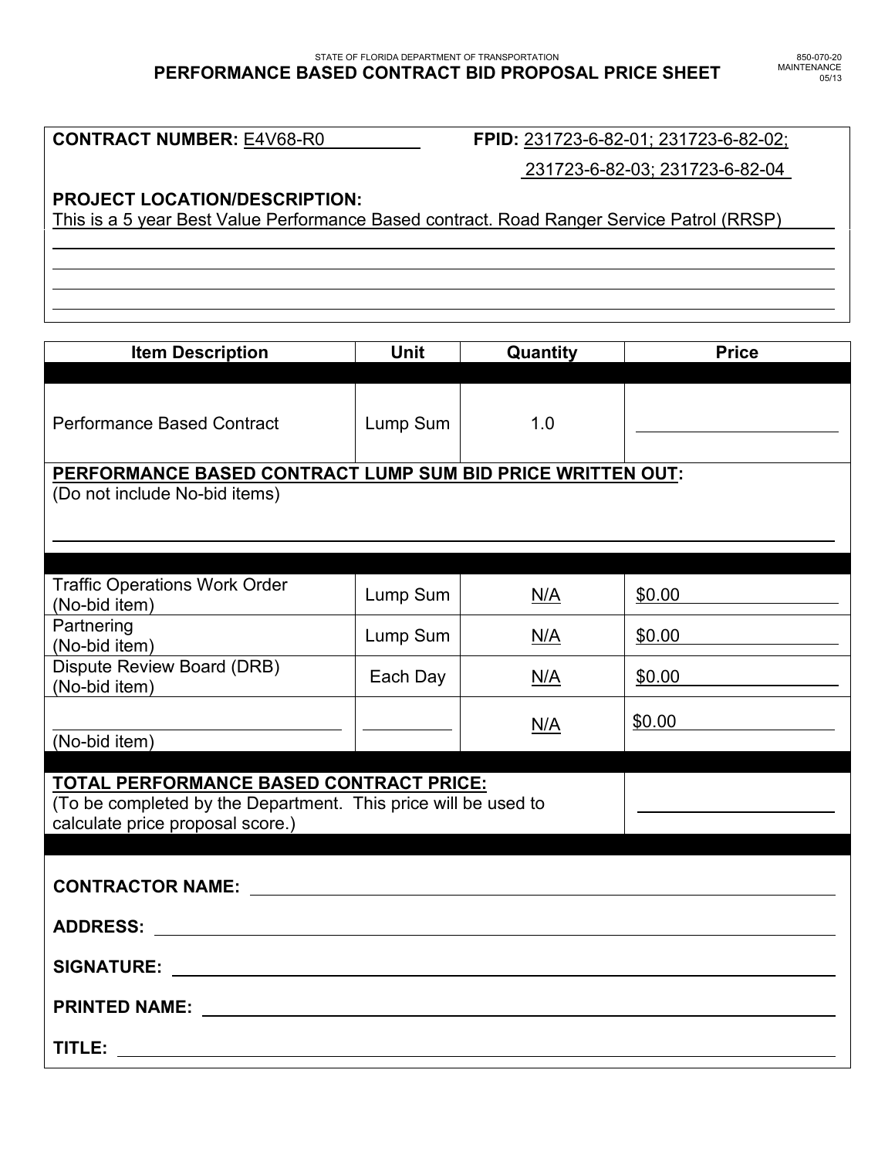#### STATE OF FLORIDA DEPARTMENT OF TRANSPORTATION **PERFORMANCE BASED CONTRACT BID PROPOSAL PRICE SHEET**

**CONTRACT NUMBER:** E4V68-R0 **FPID:** 231723-6-82-01; 231723-6-82-02;

231723-6-82-03; 231723-6-82-04

# **PROJECT LOCATION/DESCRIPTION:**

l l  $\overline{a}$ 

This is a 5 year Best Value Performance Based contract. Road Ranger Service Patrol (RRSP)

**Item Description Unit Quantity Price** Performance Based Contract | Lump Sum | 1.0 **PERFORMANCE BASED CONTRACT LUMP SUM BID PRICE WRITTEN OUT:** (Do not include No-bid items) l Traffic Operations Work Order  $(No-bid item)$  Lump Sum  $\left\lfloor N/A \right\rfloor$   $\leq N/A$   $\leq 50.00$ **Partnering** Tammering<br>(No-bid item) No-bid item Dispute Review Board (DRB) Dispute Review Board (BRB)  $\begin{array}{|c|c|c|c|c|c|}\n\hline\n\text{Each Day} & \text{N/A} & \frac{\$0.00}{\$0.00}\n\end{array}$ l (No-bid item)  $N/A$   $\frac{$0.00}{ }$ **TOTAL PERFORMANCE BASED CONTRACT PRICE:**  (To be completed by the Department. This price will be used to calculate price proposal score.) **CONTRACTOR NAME: ADDRESS: SIGNATURE: PRINTED NAME: TITLE:**